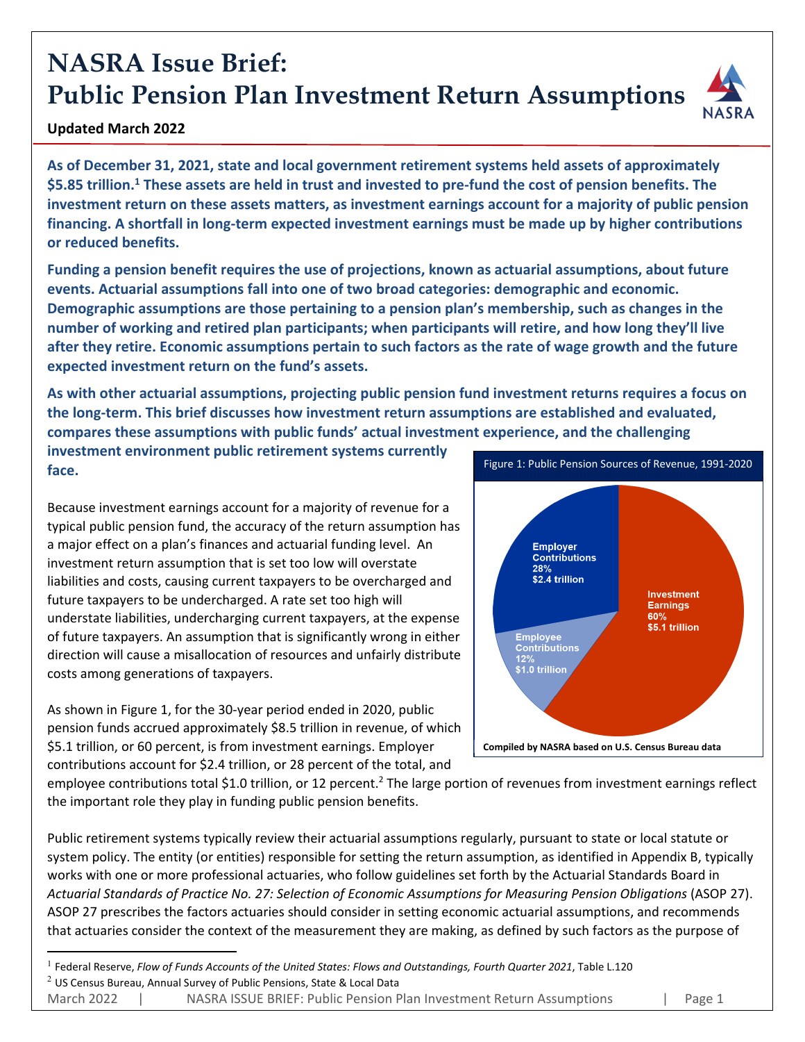# **NASRA Issue Brief: Public Pension Plan Investment Return Assumptions**



#### **Updated March 2022**

**As of December 31, 2021, state and local government retirement systems held assets of approximately** \$5.85 trillion.<sup>1</sup> These assets are held in trust and invested to pre-fund the cost of pension benefits. The **investment return on these assets matters, as investment earnings account for a majority of public pension financing. A shortfall in long‐term expected investment earnings must be made up by higher contributions or reduced benefits.** 

**Funding a pension benefit requires the use of projections, known as actuarial assumptions, about future events. Actuarial assumptions fall into one of two broad categories: demographic and economic. Demographic assumptions are those pertaining to a pension plan's membership, such as changes in the number of working and retired plan participants; when participants will retire, and how long they'll live** after they retire. Economic assumptions pertain to such factors as the rate of wage growth and the future **expected investment return on the fund's assets.**

**As with other actuarial assumptions, projecting public pension fund investment returns requires a focus on the long‐term. This brief discusses how investment return assumptions are established and evaluated, compares these assumptions with public funds' actual investment experience, and the challenging investment environment public retirement systems currently**

**face.**

Because investment earnings account for a majority of revenue for a typical public pension fund, the accuracy of the return assumption has a major effect on a plan's finances and actuarial funding level. An investment return assumption that is set too low will overstate liabilities and costs, causing current taxpayers to be overcharged and future taxpayers to be undercharged. A rate set too high will understate liabilities, undercharging current taxpayers, at the expense of future taxpayers. An assumption that is significantly wrong in either direction will cause a misallocation of resources and unfairly distribute costs among generations of taxpayers.

As shown in Figure 1, for the 30‐year period ended in 2020, public pension funds accrued approximately \$8.5 trillion in revenue, of which \$5.1 trillion, or 60 percent, is from investment earnings. Employer contributions account for \$2.4 trillion, or 28 percent of the total, and



employee contributions total \$1.0 trillion, or 12 percent.<sup>2</sup> The large portion of revenues from investment earnings reflect the important role they play in funding public pension benefits.

Public retirement systems typically review their actuarial assumptions regularly, pursuant to state or local statute or system policy. The entity (or entities) responsible for setting the return assumption, as identified in Appendix B, typically works with one or more professional actuaries, who follow guidelines set forth by the Actuarial Standards Board in *Actuarial Standards of Practice No. 27: Selection of Economic Assumptions for Measuring Pension Obligations* (ASOP 27). ASOP 27 prescribes the factors actuaries should consider in setting economic actuarial assumptions, and recommends that actuaries consider the context of the measurement they are making, as defined by such factors as the purpose of

<sup>1</sup> Federal Reserve, *Flow of Funds Accounts of the United States: Flows and Outstandings, Fourth Quarter 2021*, Table L.120

 $2$  US Census Bureau, Annual Survey of Public Pensions, State & Local Data

March 2022 | NASRA ISSUE BRIEF: Public Pension Plan Investment Return Assumptions | Page 1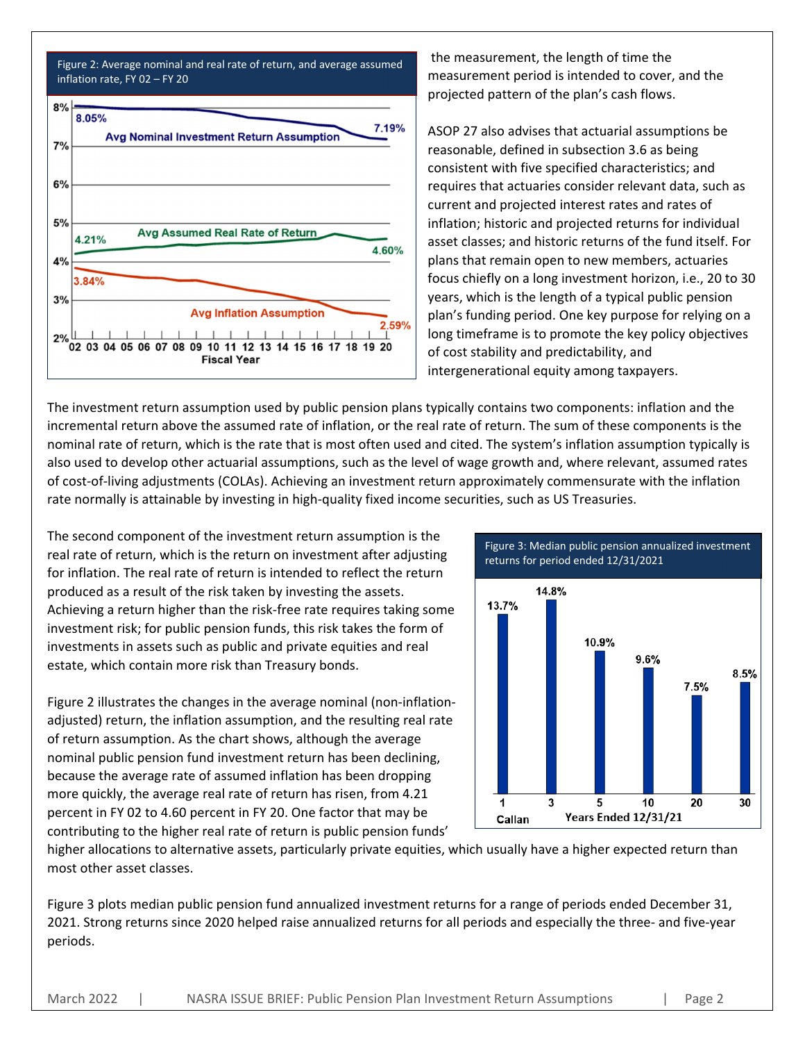

the measurement, the length of time the measurement period is intended to cover, and the projected pattern of the plan's cash flows.

ASOP 27 also advises that actuarial assumptions be reasonable, defined in subsection 3.6 as being consistent with five specified characteristics; and requires that actuaries consider relevant data, such as current and projected interest rates and rates of inflation; historic and projected returns for individual asset classes; and historic returns of the fund itself. For plans that remain open to new members, actuaries focus chiefly on a long investment horizon, i.e., 20 to 30 years, which is the length of a typical public pension plan's funding period. One key purpose for relying on a long timeframe is to promote the key policy objectives of cost stability and predictability, and intergenerational equity among taxpayers.

The investment return assumption used by public pension plans typically contains two components: inflation and the incremental return above the assumed rate of inflation, or the real rate of return. The sum of these components is the nominal rate of return, which is the rate that is most often used and cited. The system's inflation assumption typically is also used to develop other actuarial assumptions, such as the level of wage growth and, where relevant, assumed rates of cost-of-living adjustments (COLAs). Achieving an investment return approximately commensurate with the inflation rate normally is attainable by investing in high‐quality fixed income securities, such as US Treasuries.

The second component of the investment return assumption is the real rate of return, which is the return on investment after adjusting for inflation. The real rate of return is intended to reflect the return produced as a result of the risk taken by investing the assets. Achieving a return higher than the risk‐free rate requires taking some investment risk; for public pension funds, this risk takes the form of investments in assets such as public and private equities and real estate, which contain more risk than Treasury bonds.

Figure 2 illustrates the changes in the average nominal (non-inflationadjusted) return, the inflation assumption, and the resulting real rate of return assumption. As the chart shows, although the average nominal public pension fund investment return has been declining, because the average rate of assumed inflation has been dropping more quickly, the average real rate of return has risen, from 4.21 percent in FY 02 to 4.60 percent in FY 20. One factor that may be contributing to the higher real rate of return is public pension funds'



higher allocations to alternative assets, particularly private equities, which usually have a higher expected return than most other asset classes.

Figure 3 plots median public pension fund annualized investment returns for a range of periods ended December 31, 2021. Strong returns since 2020 helped raise annualized returns for all periods and especially the three‐ and five‐year periods.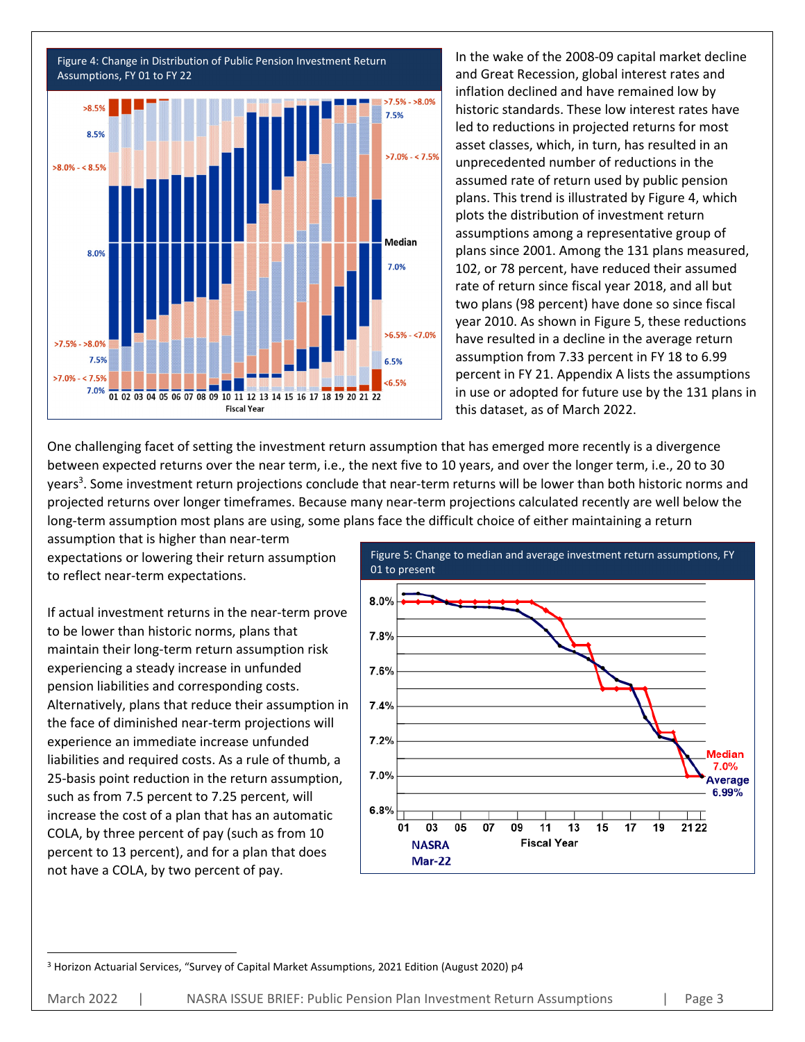

In the wake of the 2008‐09 capital market decline and Great Recession, global interest rates and inflation declined and have remained low by historic standards. These low interest rates have led to reductions in projected returns for most asset classes, which, in turn, has resulted in an unprecedented number of reductions in the assumed rate of return used by public pension plans. This trend is illustrated by Figure 4, which plots the distribution of investment return assumptions among a representative group of plans since 2001. Among the 131 plans measured, 102, or 78 percent, have reduced their assumed rate of return since fiscal year 2018, and all but two plans (98 percent) have done so since fiscal year 2010. As shown in Figure 5, these reductions have resulted in a decline in the average return assumption from 7.33 percent in FY 18 to 6.99 percent in FY 21. Appendix A lists the assumptions in use or adopted for future use by the 131 plans in this dataset, as of March 2022.

One challenging facet of setting the investment return assumption that has emerged more recently is a divergence between expected returns over the near term, i.e., the next five to 10 years, and over the longer term, i.e., 20 to 30 years<sup>3</sup>. Some investment return projections conclude that near-term returns will be lower than both historic norms and projected returns over longer timeframes. Because many near‐term projections calculated recently are well below the long‐term assumption most plans are using, some plans face the difficult choice of either maintaining a return

assumption that is higher than near‐term expectations or lowering their return assumption to reflect near‐term expectations.

If actual investment returns in the near‐term prove to be lower than historic norms, plans that maintain their long‐term return assumption risk experiencing a steady increase in unfunded pension liabilities and corresponding costs. Alternatively, plans that reduce their assumption in the face of diminished near‐term projections will experience an immediate increase unfunded liabilities and required costs. As a rule of thumb, a 25‐basis point reduction in the return assumption, such as from 7.5 percent to 7.25 percent, will increase the cost of a plan that has an automatic COLA, by three percent of pay (such as from 10 percent to 13 percent), and for a plan that does not have a COLA, by two percent of pay.



<sup>3</sup> Horizon Actuarial Services, "Survey of Capital Market Assumptions, 2021 Edition (August 2020) p4

March 2022 | NASRA ISSUE BRIEF: Public Pension Plan Investment Return Assumptions | Page 3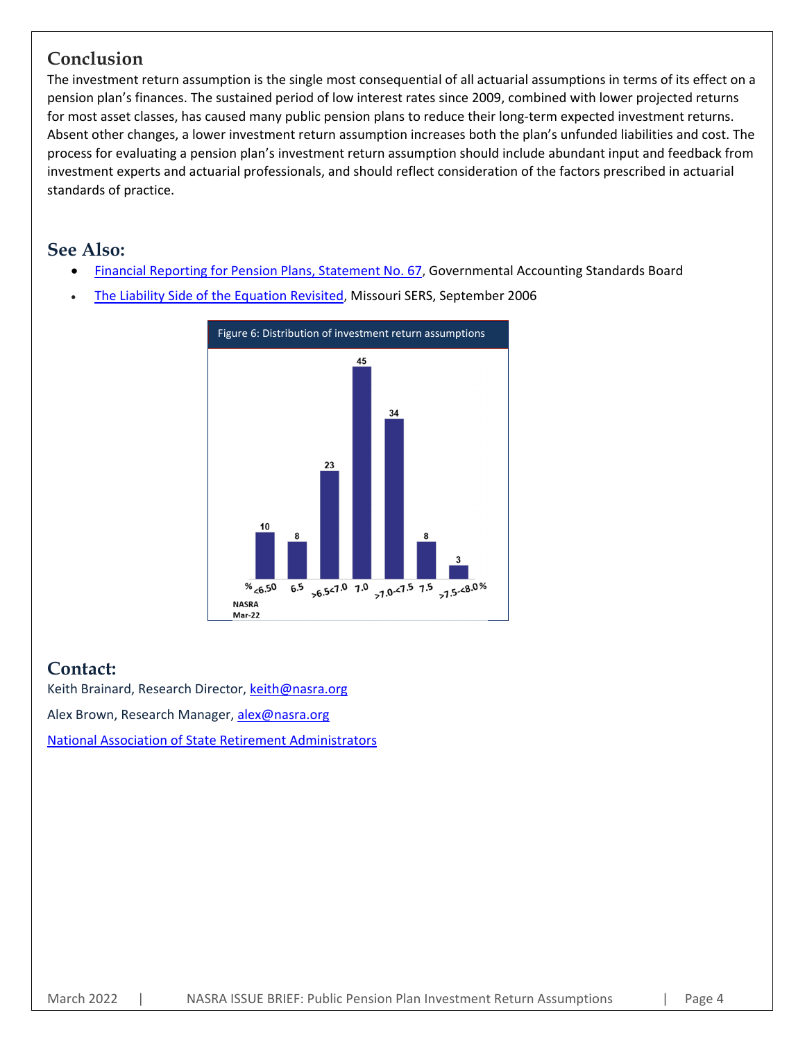#### **Conclusion**

The investment return assumption is the single most consequential of all actuarial assumptions in terms of its effect on a pension plan's finances. The sustained period of low interest rates since 2009, combined with lower projected returns for most asset classes, has caused many public pension plans to reduce their long-term expected investment returns. Absent other changes, a lower investment return assumption increases both the plan's unfunded liabilities and cost. The process for evaluating a pension plan's investment return assumption should include abundant input and feedback from investment experts and actuarial professionals, and should reflect consideration of the factors prescribed in actuarial standards of practice.

#### **See Also:**

- Financial Reporting for Pension Plans, Statement No. 67, Governmental Accounting Standards Board
- The Liability Side of the Equation Revisited, Missouri SERS, September 2006



### **Contact:**

Keith Brainard, Research Director, keith@nasra.org Alex Brown, Research Manager, alex@nasra.org National Association of State Retirement Administrators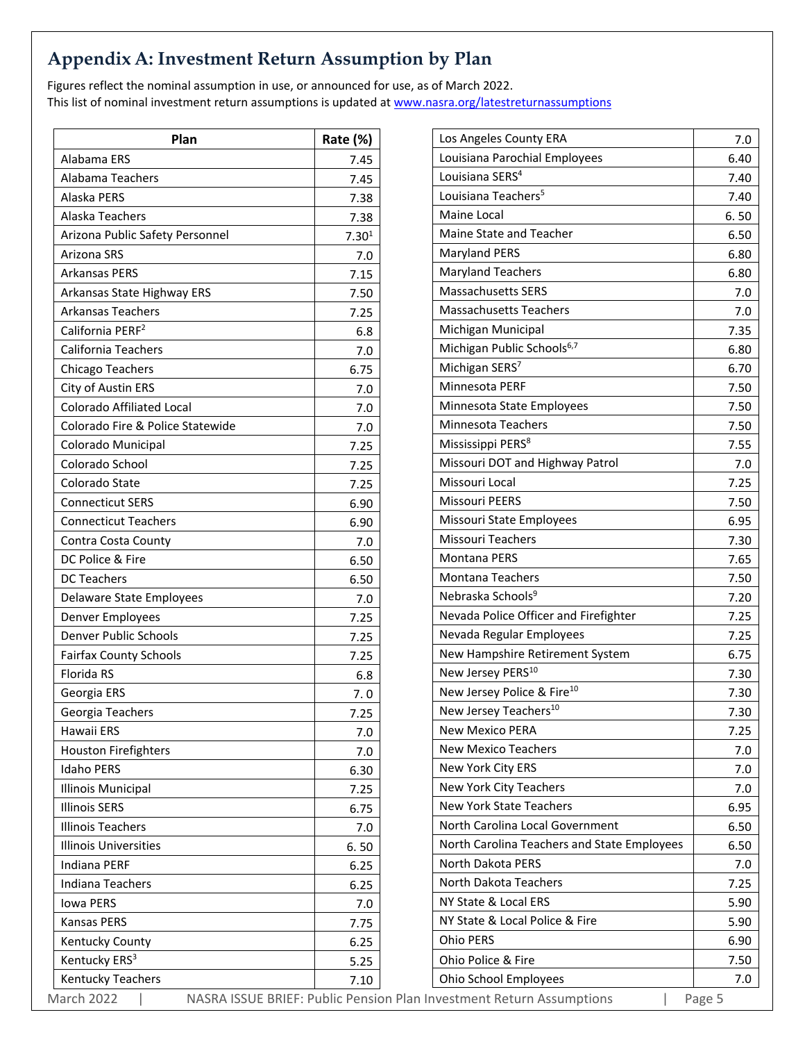## **Appendix A: Investment Return Assumption by Plan**

Figures reflect the nominal assumption in use, or announced for use, as of March 2022. This list of nominal investment return assumptions is updated at www.nasra.org/latestreturnassumptions

| Plan                             | Rate (%)                                  |
|----------------------------------|-------------------------------------------|
| Alabama ERS                      | 7.45                                      |
| Alabama Teachers                 | 7.45                                      |
| Alaska PERS                      | 7.38                                      |
| Alaska Teachers                  | 7.38                                      |
| Arizona Public Safety Personnel  | 7.30 <sup>1</sup>                         |
| Arizona SRS                      | 7.0                                       |
| Arkansas PERS                    | 7.15                                      |
| Arkansas State Highway ERS       | 7.50                                      |
| <b>Arkansas Teachers</b>         | 7.25                                      |
| California PERF <sup>2</sup>     | 6.8                                       |
| <b>California Teachers</b>       | 7.0                                       |
| Chicago Teachers                 | 6.75                                      |
| City of Austin ERS               | 7.0                                       |
| <b>Colorado Affiliated Local</b> | 7.0                                       |
| Colorado Fire & Police Statewide | 7.0                                       |
| Colorado Municipal               | 7.25                                      |
| Colorado School                  | 7.25                                      |
| Colorado State                   | 7.25                                      |
| <b>Connecticut SERS</b>          | 6.90                                      |
| <b>Connecticut Teachers</b>      | 6.90                                      |
| Contra Costa County              | 7.0                                       |
| DC Police & Fire                 | 6.50                                      |
| <b>DC Teachers</b>               | 6.50                                      |
| Delaware State Employees         | 7.0                                       |
| Denver Employees                 | 7.25                                      |
| Denver Public Schools            | 7.25                                      |
| <b>Fairfax County Schools</b>    | 7.25                                      |
| <b>Florida RS</b>                | 6.8                                       |
| Georgia ERS                      | 7.0                                       |
| Georgia Teachers                 | 7.25                                      |
| Hawaii ERS                       | 7.0                                       |
| <b>Houston Firefighters</b>      | 7.0                                       |
| <b>Idaho PERS</b>                | 6.30                                      |
| <b>Illinois Municipal</b>        | 7.25                                      |
| <b>Illinois SERS</b>             | 6.75                                      |
| <b>Illinois Teachers</b>         | 7.0                                       |
| <b>Illinois Universities</b>     | 6.50                                      |
| Indiana PERF                     | 6.25                                      |
| Indiana Teachers                 | 6.25                                      |
| <b>Iowa PERS</b>                 | 7.0                                       |
| <b>Kansas PERS</b>               | 7.75                                      |
| Kentucky County                  | 6.25                                      |
| Kentucky ERS <sup>3</sup>        | 5.25                                      |
| <b>Kentucky Teachers</b>         | 7.10                                      |
| March 2022                       | NASRA ISSUE BRIEF: Public Pension Plan Ir |

| Los Angeles County ERA                      | 7.0  |
|---------------------------------------------|------|
| Louisiana Parochial Employees               | 6.40 |
| Louisiana SERS <sup>4</sup>                 | 7.40 |
| Louisiana Teachers <sup>5</sup>             | 7.40 |
| Maine Local                                 | 6.50 |
| Maine State and Teacher                     | 6.50 |
| <b>Maryland PERS</b>                        | 6.80 |
| <b>Maryland Teachers</b>                    | 6.80 |
| <b>Massachusetts SERS</b>                   | 7.0  |
| <b>Massachusetts Teachers</b>               | 7.0  |
| Michigan Municipal                          | 7.35 |
| Michigan Public Schools <sup>6,7</sup>      | 6.80 |
| Michigan SERS <sup>7</sup>                  | 6.70 |
| Minnesota PERF                              | 7.50 |
| Minnesota State Employees                   | 7.50 |
| <b>Minnesota Teachers</b>                   | 7.50 |
| Mississippi PERS <sup>8</sup>               | 7.55 |
| Missouri DOT and Highway Patrol             | 7.0  |
| Missouri Local                              | 7.25 |
| <b>Missouri PEERS</b>                       | 7.50 |
| Missouri State Employees                    | 6.95 |
| <b>Missouri Teachers</b>                    | 7.30 |
| Montana PERS                                | 7.65 |
| <b>Montana Teachers</b>                     | 7.50 |
| Nebraska Schools <sup>9</sup>               | 7.20 |
| Nevada Police Officer and Firefighter       | 7.25 |
| Nevada Regular Employees                    | 7.25 |
| New Hampshire Retirement System             | 6.75 |
| New Jersey PERS <sup>10</sup>               | 7.30 |
| New Jersey Police & Fire <sup>10</sup>      | 7.30 |
| New Jersey Teachers <sup>10</sup>           | 7.30 |
| <b>New Mexico PERA</b>                      | 7.25 |
| <b>New Mexico Teachers</b>                  | 7.0  |
| New York City ERS                           | 7.0  |
| New York City Teachers                      | 7.0  |
| <b>New York State Teachers</b>              | 6.95 |
| North Carolina Local Government             | 6.50 |
| North Carolina Teachers and State Employees | 6.50 |
| North Dakota PERS                           | 7.0  |
| North Dakota Teachers                       | 7.25 |
| NY State & Local ERS                        | 5.90 |
| NY State & Local Police & Fire              | 5.90 |
| Ohio PERS                                   | 6.90 |
| Ohio Police & Fire                          | 7.50 |
| Ohio School Employees                       | 7.0  |
| nvestment Return Assumptions<br>Page 5      |      |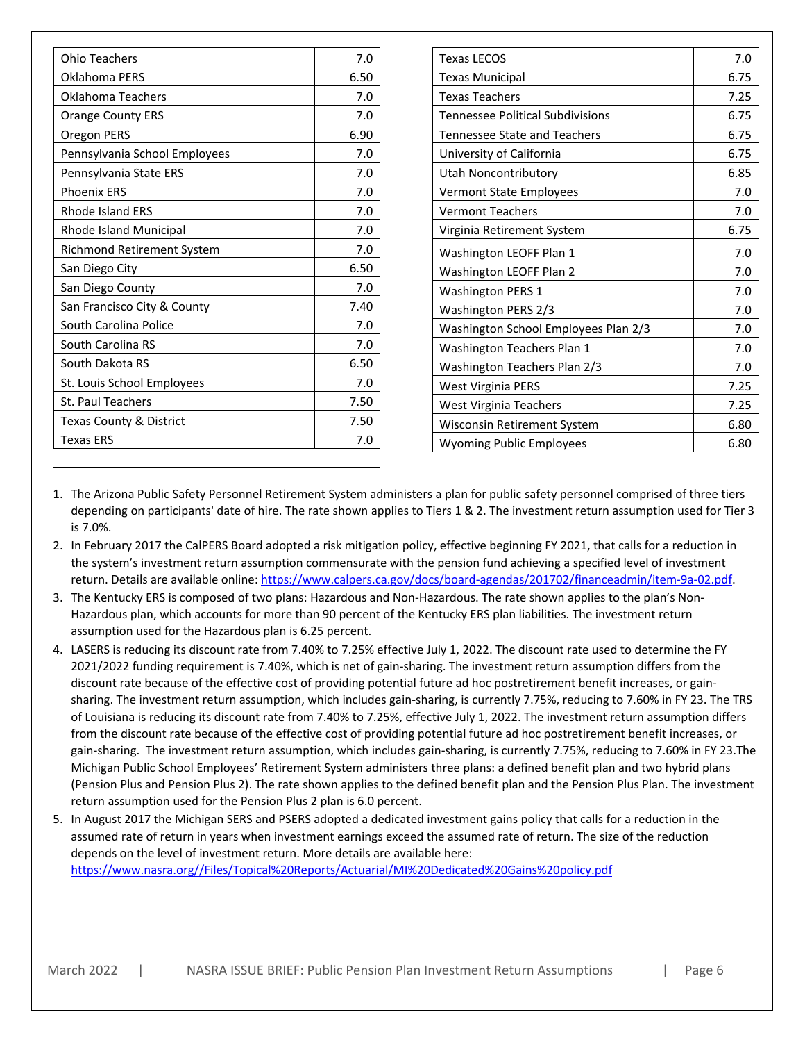| Ohio Teachers                      | 7.0  |
|------------------------------------|------|
| Oklahoma PERS                      | 6.50 |
| Oklahoma Teachers                  | 7.0  |
| <b>Orange County ERS</b>           | 7.0  |
| Oregon PERS                        | 6.90 |
| Pennsylvania School Employees      | 7.0  |
| Pennsylvania State ERS             | 7.0  |
| <b>Phoenix ERS</b>                 | 7.0  |
| <b>Rhode Island ERS</b>            | 7.0  |
| Rhode Island Municipal             | 7.0  |
| Richmond Retirement System         | 7.0  |
| San Diego City                     | 6.50 |
| San Diego County                   | 7.0  |
| San Francisco City & County        | 7.40 |
| South Carolina Police              | 7.0  |
| South Carolina RS                  | 7.0  |
| South Dakota RS                    | 6.50 |
| St. Louis School Employees         | 7.0  |
| St. Paul Teachers                  | 7.50 |
| <b>Texas County &amp; District</b> | 7.50 |
| Texas ERS                          | 7.0  |

| <b>Texas LECOS</b>                      | 7.0  |
|-----------------------------------------|------|
| <b>Texas Municipal</b>                  | 6.75 |
| <b>Texas Teachers</b>                   | 7.25 |
| <b>Tennessee Political Subdivisions</b> | 6.75 |
| <b>Tennessee State and Teachers</b>     | 6.75 |
| University of California                | 6.75 |
| Utah Noncontributory                    | 6.85 |
| <b>Vermont State Employees</b>          | 7.0  |
| <b>Vermont Teachers</b>                 | 7.0  |
| Virginia Retirement System              | 6.75 |
| Washington LEOFF Plan 1                 | 7.0  |
| Washington LEOFF Plan 2                 | 7.0  |
| <b>Washington PERS 1</b>                | 7.0  |
| Washington PERS 2/3                     | 7.0  |
| Washington School Employees Plan 2/3    | 7.0  |
| Washington Teachers Plan 1              | 7.0  |
| Washington Teachers Plan 2/3            | 7.0  |
| <b>West Virginia PERS</b>               | 7.25 |
| West Virginia Teachers                  | 7.25 |
| Wisconsin Retirement System             | 6.80 |
| <b>Wyoming Public Employees</b>         | 6.80 |

- 1. The Arizona Public Safety Personnel Retirement System administers a plan for public safety personnel comprised of three tiers depending on participants' date of hire. The rate shown applies to Tiers 1 & 2. The investment return assumption used for Tier 3 is 7.0%.
- 2. In February 2017 the CalPERS Board adopted a risk mitigation policy, effective beginning FY 2021, that calls for a reduction in the system's investment return assumption commensurate with the pension fund achieving a specified level of investment return. Details are available online: https://www.calpers.ca.gov/docs/board‐agendas/201702/financeadmin/item‐9a‐02.pdf.
- 3. The Kentucky ERS is composed of two plans: Hazardous and Non‐Hazardous. The rate shown applies to the plan's Non‐ Hazardous plan, which accounts for more than 90 percent of the Kentucky ERS plan liabilities. The investment return assumption used for the Hazardous plan is 6.25 percent.
- 4. LASERS is reducing its discount rate from 7.40% to 7.25% effective July 1, 2022. The discount rate used to determine the FY 2021/2022 funding requirement is 7.40%, which is net of gain‐sharing. The investment return assumption differs from the discount rate because of the effective cost of providing potential future ad hoc postretirement benefit increases, or gain‐ sharing. The investment return assumption, which includes gain‐sharing, is currently 7.75%, reducing to 7.60% in FY 23. The TRS of Louisiana is reducing its discount rate from 7.40% to 7.25%, effective July 1, 2022. The investment return assumption differs from the discount rate because of the effective cost of providing potential future ad hoc postretirement benefit increases, or gain‐sharing. The investment return assumption, which includes gain‐sharing, is currently 7.75%, reducing to 7.60% in FY 23.The Michigan Public School Employees' Retirement System administers three plans: a defined benefit plan and two hybrid plans (Pension Plus and Pension Plus 2). The rate shown applies to the defined benefit plan and the Pension Plus Plan. The investment return assumption used for the Pension Plus 2 plan is 6.0 percent.
- 5. In August 2017 the Michigan SERS and PSERS adopted a dedicated investment gains policy that calls for a reduction in the assumed rate of return in years when investment earnings exceed the assumed rate of return. The size of the reduction depends on the level of investment return. More details are available here: https://www.nasra.org//Files/Topical%20Reports/Actuarial/MI%20Dedicated%20Gains%20policy.pdf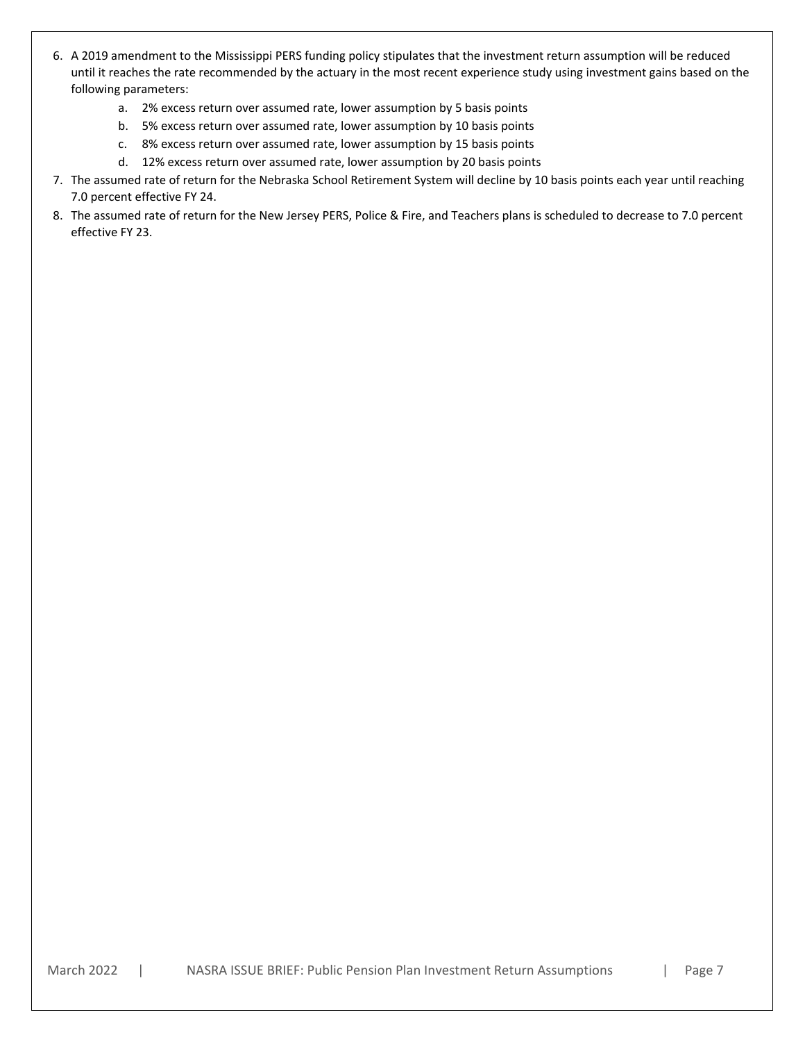- 6. A 2019 amendment to the Mississippi PERS funding policy stipulates that the investment return assumption will be reduced until it reaches the rate recommended by the actuary in the most recent experience study using investment gains based on the following parameters:
	- a. 2% excess return over assumed rate, lower assumption by 5 basis points
	- b. 5% excess return over assumed rate, lower assumption by 10 basis points
	- c. 8% excess return over assumed rate, lower assumption by 15 basis points
	- d. 12% excess return over assumed rate, lower assumption by 20 basis points
- 7. The assumed rate of return for the Nebraska School Retirement System will decline by 10 basis points each year until reaching 7.0 percent effective FY 24.
- 8. The assumed rate of return for the New Jersey PERS, Police & Fire, and Teachers plans is scheduled to decrease to 7.0 percent effective FY 23.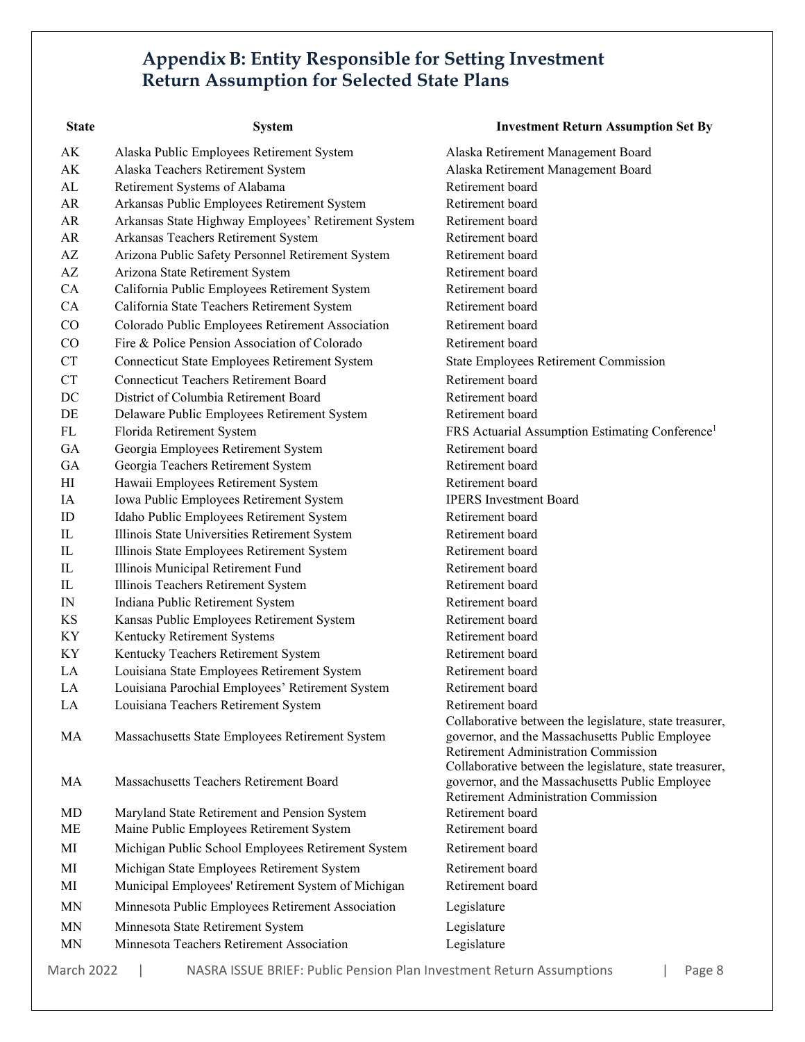## **Appendix B: Entity Responsible for Setting Investment Return Assumption for Selected State Plans**

| <b>State</b>           | <b>System</b>                                       | <b>Investment Return Assumption Set By</b>                                                                                                         |
|------------------------|-----------------------------------------------------|----------------------------------------------------------------------------------------------------------------------------------------------------|
| AK                     | Alaska Public Employees Retirement System           | Alaska Retirement Management Board                                                                                                                 |
| AK                     | Alaska Teachers Retirement System                   | Alaska Retirement Management Board                                                                                                                 |
| AL                     | Retirement Systems of Alabama                       | Retirement board                                                                                                                                   |
| AR                     | Arkansas Public Employees Retirement System         | Retirement board                                                                                                                                   |
| AR                     | Arkansas State Highway Employees' Retirement System | Retirement board                                                                                                                                   |
| AR                     | Arkansas Teachers Retirement System                 | Retirement board                                                                                                                                   |
| AZ                     | Arizona Public Safety Personnel Retirement System   | Retirement board                                                                                                                                   |
| $\mathbf{A}\mathbf{Z}$ | Arizona State Retirement System                     | Retirement board                                                                                                                                   |
| CA                     | California Public Employees Retirement System       | Retirement board                                                                                                                                   |
| CA                     | California State Teachers Retirement System         | Retirement board                                                                                                                                   |
| $\rm CO$               | Colorado Public Employees Retirement Association    | Retirement board                                                                                                                                   |
| CO                     | Fire & Police Pension Association of Colorado       | Retirement board                                                                                                                                   |
| <b>CT</b>              | Connecticut State Employees Retirement System       | <b>State Employees Retirement Commission</b>                                                                                                       |
| <b>CT</b>              | <b>Connecticut Teachers Retirement Board</b>        | Retirement board                                                                                                                                   |
| DC                     | District of Columbia Retirement Board               | Retirement board                                                                                                                                   |
| DE                     | Delaware Public Employees Retirement System         | Retirement board                                                                                                                                   |
| FL                     | Florida Retirement System                           | FRS Actuarial Assumption Estimating Conference <sup>1</sup>                                                                                        |
| GA                     | Georgia Employees Retirement System                 | Retirement board                                                                                                                                   |
| GA                     | Georgia Teachers Retirement System                  | Retirement board                                                                                                                                   |
| HI                     | Hawaii Employees Retirement System                  | Retirement board                                                                                                                                   |
| IA                     | Iowa Public Employees Retirement System             | <b>IPERS</b> Investment Board                                                                                                                      |
| ID                     | Idaho Public Employees Retirement System            | Retirement board                                                                                                                                   |
| IL                     | Illinois State Universities Retirement System       | Retirement board                                                                                                                                   |
| IL                     | Illinois State Employees Retirement System          | Retirement board                                                                                                                                   |
| IL                     | Illinois Municipal Retirement Fund                  | Retirement board                                                                                                                                   |
| IL                     | Illinois Teachers Retirement System                 | Retirement board                                                                                                                                   |
| IN                     | Indiana Public Retirement System                    | Retirement board                                                                                                                                   |
| <b>KS</b>              | Kansas Public Employees Retirement System           | Retirement board                                                                                                                                   |
| KY                     | Kentucky Retirement Systems                         | Retirement board                                                                                                                                   |
| KY                     | Kentucky Teachers Retirement System                 | Retirement board                                                                                                                                   |
| LA                     | Louisiana State Employees Retirement System         | Retirement board                                                                                                                                   |
| LA                     | Louisiana Parochial Employees' Retirement System    | Retirement board                                                                                                                                   |
| LA                     | Louisiana Teachers Retirement System                | Retirement board                                                                                                                                   |
| MA                     | Massachusetts State Employees Retirement System     | Collaborative between the legislature, state treasurer,<br>governor, and the Massachusetts Public Employee<br>Retirement Administration Commission |
| MA                     | Massachusetts Teachers Retirement Board             | Collaborative between the legislature, state treasurer,<br>governor, and the Massachusetts Public Employee<br>Retirement Administration Commission |
| MD                     | Maryland State Retirement and Pension System        | Retirement board                                                                                                                                   |
| ME                     | Maine Public Employees Retirement System            | Retirement board                                                                                                                                   |
| MI                     | Michigan Public School Employees Retirement System  | Retirement board                                                                                                                                   |
| MI                     | Michigan State Employees Retirement System          | Retirement board                                                                                                                                   |
| MI                     | Municipal Employees' Retirement System of Michigan  | Retirement board                                                                                                                                   |
| MN                     | Minnesota Public Employees Retirement Association   | Legislature                                                                                                                                        |
| MN                     | Minnesota State Retirement System                   | Legislature                                                                                                                                        |
| MN                     | Minnesota Teachers Retirement Association           | Legislature                                                                                                                                        |
|                        |                                                     |                                                                                                                                                    |

March 2022 | NASRA ISSUE BRIEF: Public Pension Plan Investment Return Assumptions | Page 8